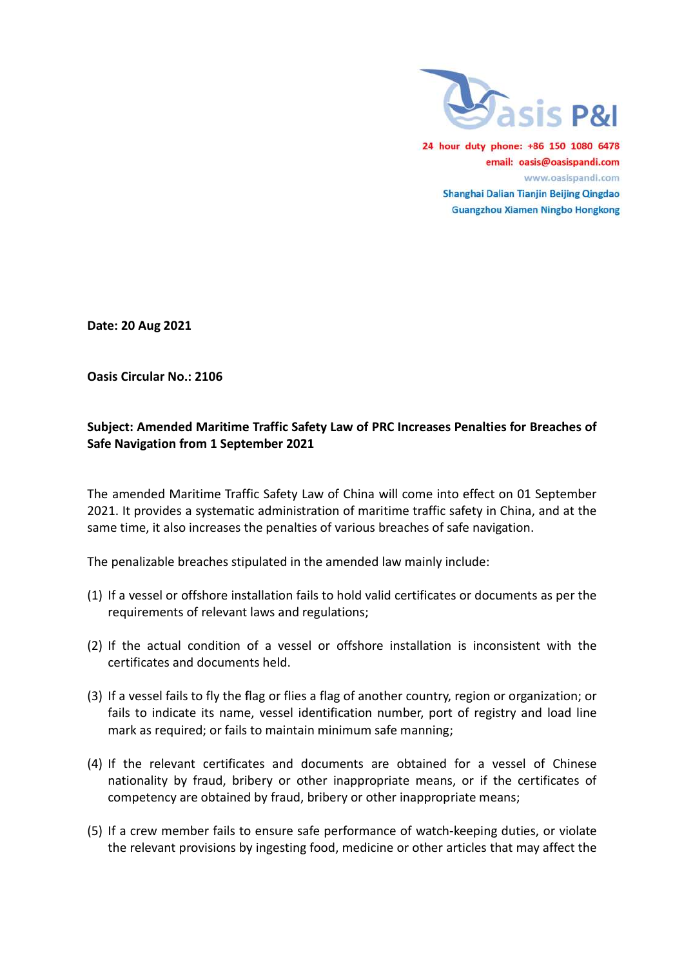

24 hour duty phone: +86 150 1080 6478 email: oasis@oasispandi.com www.oasispandi.com Shanghai Dalian Tianjin Beijing Qingdao **Guangzhou Xiamen Ningbo Hongkong** 

Date: 20 Aug 2021

Oasis Circular No.: 2106

# Subject: Amended Maritime Traffic Safety Law of PRC Increases Penalties for Breaches of Safe Navigation from 1 September 2021

The amended Maritime Traffic Safety Law of China will come into effect 2021. It provides a systematic administration of maritime traffic safety in China, and at the 2021. It provides a systematic administration of maritime traffic safety in China,<br>same time, it also increases the penalties of various breaches of safe navigation.

The penalizable breaches stipulated in the amended law mainly include:

- The penalizable breaches stipulated in the amended law mainly include:<br>(1) If a vessel or offshore installation fails to hold valid certificates or documents as per the requirements of relevant laws and regulations regulations;
- (2) If the actual condition of a vessel or offshore installation is inconsistent with the certificates and documents held.
- (3) If a vessel fails to fly the flag or flies a flag of another country, region or organization; or fails to indicate its name, vessel identification number, port of registry and load line fails to indicate its name, vessel identification number, port of registry and load line mark as required; or fails to maintain minimum safe manning; aw of China will come into effect on 01 September<br>
ration of maritime traffic safety in China, and at the<br>
so of various breaches of safe navigation.<br>
he amended law mainly include:<br>
ls to hold valid certificates or docume is inconsistent<br>region or organi<br>of registry and<br>for a vessel of<br>, or if the certi<br>riate means;<br>keeping duties,
- (4) If the relevant certificates and documents are obtained for a vessel of Chinese nationality by fraud, bribery or other inappropriate means, or if the certificates of competency are obtained by fraud, bribery or other inappropriate means; mark as required; or fails to maintain minimum safe manning;<br>f the relevant certificates and documents are obtained for a vessel of Chinese<br>nationality by fraud, bribery or other inappropriate means, or if the certificates
- (5) If a crew member fails to ensure safe performance of watch the relevant provisions by ingesting food, medicine or other articles that may affect the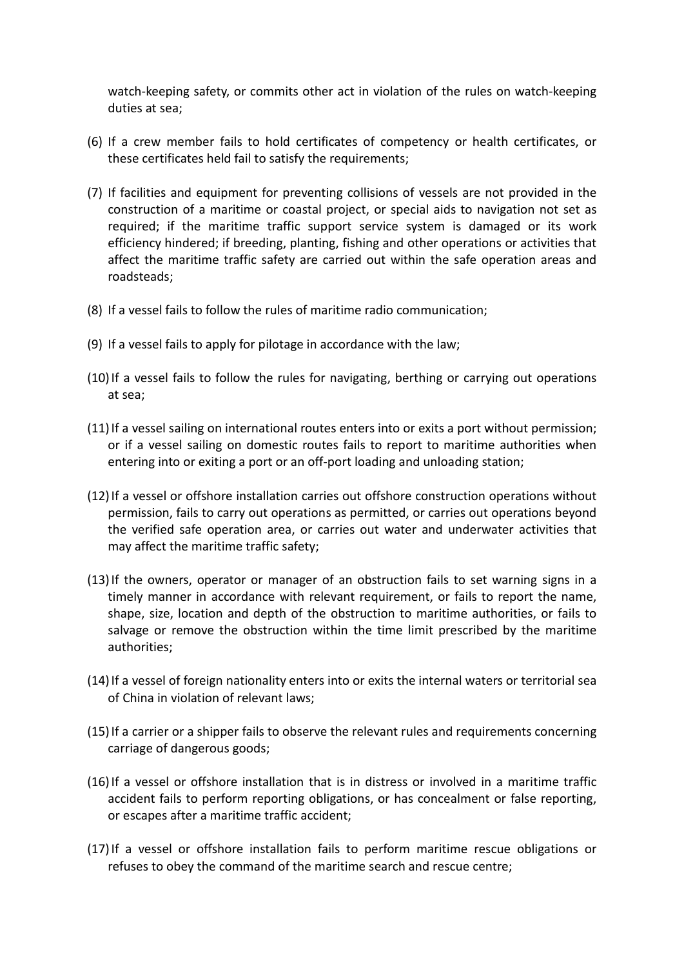watch-keeping safety, or commits other act in violation of the rules on watch-keeping duties at sea;

- (6) If a crew member fails to hold certificates of competency or health certificates, or these certificates held fail to satisfy the requirements;
- (7) If facilities and equipment for preventing collisions of vessels are not provided in the construction of a maritime or coastal project, or special aids to navigation not set as required; if the maritime traffic support service system is damaged or its work efficiency hindered; if breeding, planting, fishing and other operations or activities that affect the maritime traffic safety are carried out within the safe operation areas and roadsteads;
- (8) If a vessel fails to follow the rules of maritime radio communication;
- (9) If a vessel fails to apply for pilotage in accordance with the law;
- (10)If a vessel fails to follow the rules for navigating, berthing or carrying out operations at sea;
- (11)If a vessel sailing on international routes enters into or exits a port without permission; or if a vessel sailing on domestic routes fails to report to maritime authorities when entering into or exiting a port or an off-port loading and unloading station;
- (12)If a vessel or offshore installation carries out offshore construction operations without permission, fails to carry out operations as permitted, or carries out operations beyond the verified safe operation area, or carries out water and underwater activities that may affect the maritime traffic safety;
- (13)If the owners, operator or manager of an obstruction fails to set warning signs in a timely manner in accordance with relevant requirement, or fails to report the name, shape, size, location and depth of the obstruction to maritime authorities, or fails to salvage or remove the obstruction within the time limit prescribed by the maritime authorities;
- (14)If a vessel of foreign nationality enters into or exits the internal waters or territorial sea of China in violation of relevant laws;
- (15)If a carrier or a shipper fails to observe the relevant rules and requirements concerning carriage of dangerous goods;
- (16)If a vessel or offshore installation that is in distress or involved in a maritime traffic accident fails to perform reporting obligations, or has concealment or false reporting, or escapes after a maritime traffic accident;
- (17)If a vessel or offshore installation fails to perform maritime rescue obligations or refuses to obey the command of the maritime search and rescue centre;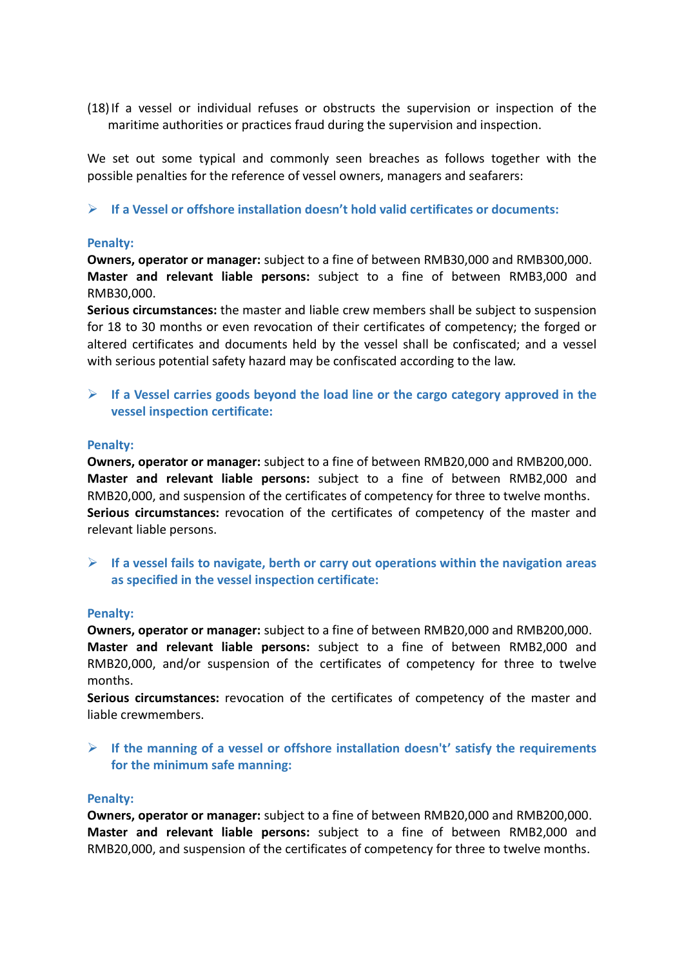(18)If a vessel or individual refuses or obstructs the supervision or inspection of the maritime authorities or practices fraud during the supervision and inspection.

We set out some typical and commonly seen breaches as follows together with the possible penalties for the reference of vessel owners, managers and seafarers:

## $\triangleright$  If a Vessel or offshore installation doesn't hold valid certificates or documents:

## Penalty:

Owners, operator or manager: subject to a fine of between RMB30,000 and RMB300,000. Master and relevant liable persons: subject to a fine of between RMB3,000 and RMB30,000.

Serious circumstances: the master and liable crew members shall be subject to suspension for 18 to 30 months or even revocation of their certificates of competency; the forged or altered certificates and documents held by the vessel shall be confiscated; and a vessel with serious potential safety hazard may be confiscated according to the law.

## $\triangleright$  If a Vessel carries goods beyond the load line or the cargo category approved in the vessel inspection certificate:

## Penalty:

Owners, operator or manager: subject to a fine of between RMB20,000 and RMB200,000. Master and relevant liable persons: subject to a fine of between RMB2,000 and RMB20,000, and suspension of the certificates of competency for three to twelve months. Serious circumstances: revocation of the certificates of competency of the master and relevant liable persons.

 $\triangleright$  If a vessel fails to navigate, berth or carry out operations within the navigation areas as specified in the vessel inspection certificate:

#### Penalty:

Owners, operator or manager: subject to a fine of between RMB20,000 and RMB200,000. Master and relevant liable persons: subject to a fine of between RMB2,000 and RMB20,000, and/or suspension of the certificates of competency for three to twelve months.

Serious circumstances: revocation of the certificates of competency of the master and liable crewmembers.

 $\triangleright$  If the manning of a vessel or offshore installation doesn't' satisfy the requirements for the minimum safe manning:

#### Penalty:

Owners, operator or manager: subject to a fine of between RMB20,000 and RMB200,000. Master and relevant liable persons: subject to a fine of between RMB2,000 and RMB20,000, and suspension of the certificates of competency for three to twelve months.